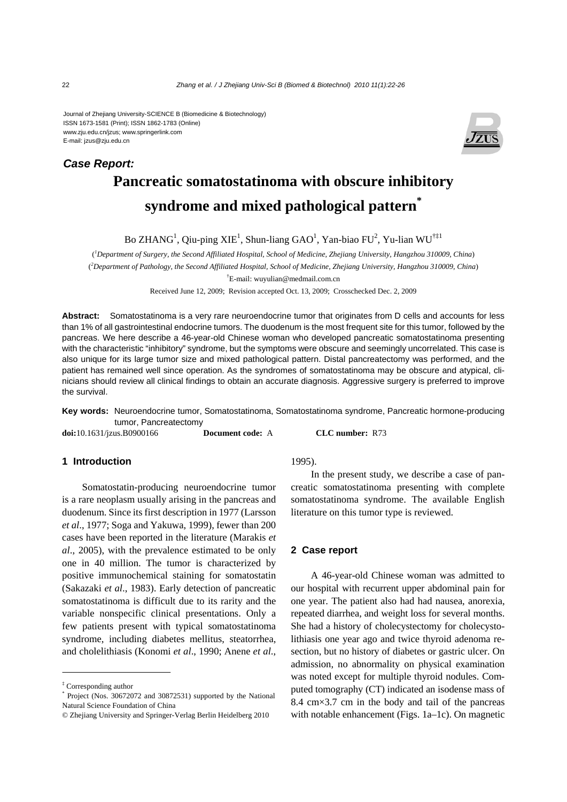Journal of Zhejiang University-SCIENCE B (Biomedicine & Biotechnology) ISSN 1673-1581 (Print); ISSN 1862-1783 (Online) www.zju.edu.cn/jzus; www.springerlink.com E-mail: jzus@zju.edu.cn



# **Pancreatic somatostatinoma with obscure inhibitory syndrome and mixed pathological pattern\***

Bo ZHANG<sup>1</sup>, Qiu-ping XIE<sup>1</sup>, Shun-liang GAO<sup>1</sup>, Yan-biao FU<sup>2</sup>, Yu-lian WU<sup>†‡1</sup>

( *1 Department of Surgery, the Second Affiliated Hospital, School of Medicine, Zhejiang University, Hangzhou 310009, China*) ( *2 Department of Pathology, the Second Affiliated Hospital, School of Medicine, Zhejiang University, Hangzhou 310009, China*) † E-mail: wuyulian@medmail.com.cn

Received June 12, 2009; Revision accepted Oct. 13, 2009; Crosschecked Dec. 2, 2009

**Abstract:** Somatostatinoma is a very rare neuroendocrine tumor that originates from D cells and accounts for less than 1% of all gastrointestinal endocrine tumors. The duodenum is the most frequent site for this tumor, followed by the pancreas. We here describe a 46-year-old Chinese woman who developed pancreatic somatostatinoma presenting with the characteristic "inhibitory" syndrome, but the symptoms were obscure and seemingly uncorrelated. This case is also unique for its large tumor size and mixed pathological pattern. Distal pancreatectomy was performed, and the patient has remained well since operation. As the syndromes of somatostatinoma may be obscure and atypical, clinicians should review all clinical findings to obtain an accurate diagnosis. Aggressive surgery is preferred to improve the survival.

**Key words:** Neuroendocrine tumor, Somatostatinoma, Somatostatinoma syndrome, Pancreatic hormone-producing tumor, Pancreatectomy

**doi:**10.1631/jzus.B0900166 **Document code:** A **CLC number:** R73

## **1 Introduction**

Somatostatin-producing neuroendocrine tumor is a rare neoplasm usually arising in the pancreas and duodenum. Since its first description in 1977 (Larsson *et al*., 1977; Soga and Yakuwa, 1999), fewer than 200 cases have been reported in the literature (Marakis *et al*., 2005), with the prevalence estimated to be only one in 40 million. The tumor is characterized by positive immunochemical staining for somatostatin (Sakazaki *et al*., 1983). Early detection of pancreatic somatostatinoma is difficult due to its rarity and the variable nonspecific clinical presentations. Only a few patients present with typical somatostatinoma syndrome, including diabetes mellitus, steatorrhea, and cholelithiasis (Konomi *et al*., 1990; Anene *et al*.,

1995).

In the present study, we describe a case of pancreatic somatostatinoma presenting with complete somatostatinoma syndrome. The available English literature on this tumor type is reviewed.

## **2 Case report**

A 46-year-old Chinese woman was admitted to our hospital with recurrent upper abdominal pain for one year. The patient also had had nausea, anorexia, repeated diarrhea, and weight loss for several months. She had a history of cholecystectomy for cholecystolithiasis one year ago and twice thyroid adenoma resection, but no history of diabetes or gastric ulcer. On admission, no abnormality on physical examination was noted except for multiple thyroid nodules. Computed tomography (CT) indicated an isodense mass of 8.4 cm×3.7 cm in the body and tail of the pancreas with notable enhancement (Figs. 1a–1c). On magnetic

*Case Report:*

<sup>‡</sup> Corresponding author

<sup>\*</sup> Project (Nos. 30672072 and 30872531) supported by the National Natural Science Foundation of China

<sup>©</sup> Zhejiang University and Springer-Verlag Berlin Heidelberg 2010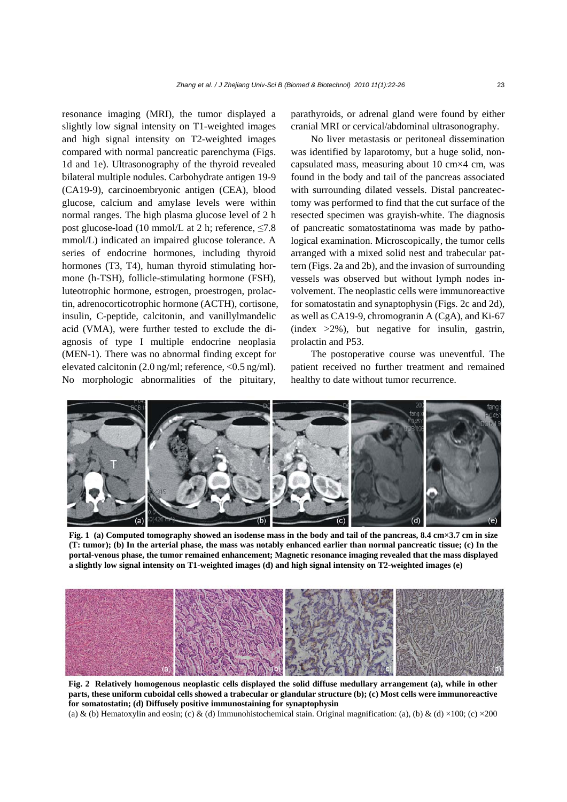resonance imaging (MRI), the tumor displayed a slightly low signal intensity on T1-weighted images and high signal intensity on T2-weighted images compared with normal pancreatic parenchyma (Figs. 1d and 1e). Ultrasonography of the thyroid revealed bilateral multiple nodules. Carbohydrate antigen 19-9 (CA19-9), carcinoembryonic antigen (CEA), blood glucose, calcium and amylase levels were within normal ranges. The high plasma glucose level of 2 h post glucose-load (10 mmol/L at 2 h; reference,  $\leq 7.8$ ) mmol/L) indicated an impaired glucose tolerance. A series of endocrine hormones, including thyroid hormones (T3, T4), human thyroid stimulating hormone (h-TSH), follicle-stimulating hormone (FSH), luteotrophic hormone, estrogen, proestrogen, prolactin, adrenocorticotrophic hormone (ACTH), cortisone, insulin, C-peptide, calcitonin, and vanillylmandelic acid (VMA), were further tested to exclude the diagnosis of type I multiple endocrine neoplasia (MEN-1). There was no abnormal finding except for elevated calcitonin (2.0 ng/ml; reference, <0.5 ng/ml). No morphologic abnormalities of the pituitary,

parathyroids, or adrenal gland were found by either cranial MRI or cervical/abdominal ultrasonography.

No liver metastasis or peritoneal dissemination was identified by laparotomy, but a huge solid, noncapsulated mass, measuring about 10 cm×4 cm, was found in the body and tail of the pancreas associated with surrounding dilated vessels. Distal pancreatectomy was performed to find that the cut surface of the resected specimen was grayish-white. The diagnosis of pancreatic somatostatinoma was made by pathological examination. Microscopically, the tumor cells arranged with a mixed solid nest and trabecular pattern (Figs. 2a and 2b), and the invasion of surrounding vessels was observed but without lymph nodes involvement. The neoplastic cells were immunoreactive for somatostatin and synaptophysin (Figs. 2c and 2d), as well as CA19-9, chromogranin A (CgA), and Ki-67  $(index > 2\%)$ , but negative for insulin, gastrin, prolactin and P53.

The postoperative course was uneventful. The patient received no further treatment and remained healthy to date without tumor recurrence.



**Fig. 1 (a) Computed tomography showed an isodense mass in the body and tail of the pancreas, 8.4 cm×3.7 cm in size (T: tumor); (b) In the arterial phase, the mass was notably enhanced earlier than normal pancreatic tissue; (c) In the portal-venous phase, the tumor remained enhancement; Magnetic resonance imaging revealed that the mass displayed a slightly low signal intensity on T1-weighted images (d) and high signal intensity on T2-weighted images (e)**



**Fig. 2 Relatively homogenous neoplastic cells displayed the solid diffuse medullary arrangement (a), while in other parts, these uniform cuboidal cells showed a trabecular or glandular structure (b); (c) Most cells were immunoreactive for somatostatin; (d) Diffusely positive immunostaining for synaptophysin** 

(a) & (b) Hematoxylin and eosin; (c) & (d) Immunohistochemical stain. Original magnification: (a), (b) & (d) ×100; (c) ×200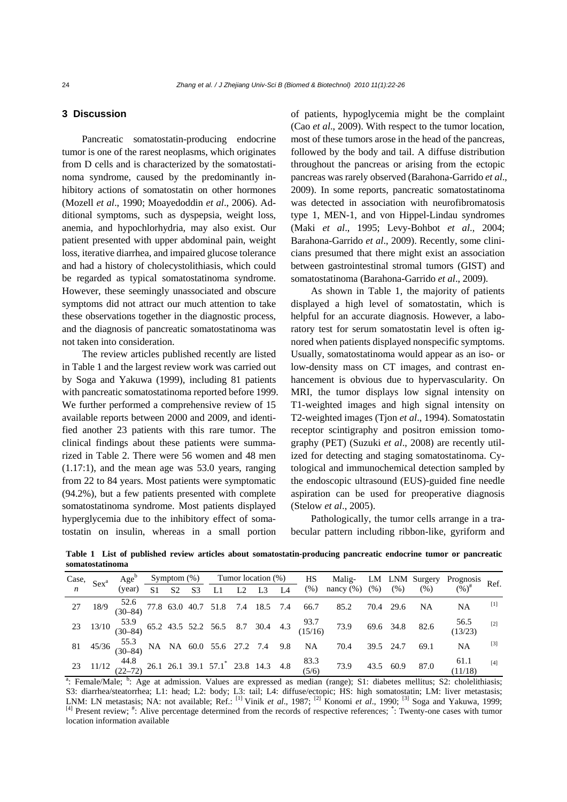## **3 Discussion**

Pancreatic somatostatin-producing endocrine tumor is one of the rarest neoplasms, which originates from D cells and is characterized by the somatostatinoma syndrome, caused by the predominantly inhibitory actions of somatostatin on other hormones (Mozell *et al*., 1990; Moayedoddin *et al*., 2006). Additional symptoms, such as dyspepsia, weight loss, anemia, and hypochlorhydria, may also exist. Our patient presented with upper abdominal pain, weight loss, iterative diarrhea, and impaired glucose tolerance and had a history of cholecystolithiasis, which could be regarded as typical somatostatinoma syndrome. However, these seemingly unassociated and obscure symptoms did not attract our much attention to take these observations together in the diagnostic process, and the diagnosis of pancreatic somatostatinoma was not taken into consideration.

The review articles published recently are listed in Table 1 and the largest review work was carried out by Soga and Yakuwa (1999), including 81 patients with pancreatic somatostatinoma reported before 1999. We further performed a comprehensive review of 15 available reports between 2000 and 2009, and identified another 23 patients with this rare tumor. The clinical findings about these patients were summarized in Table 2. There were 56 women and 48 men (1.17:1), and the mean age was 53.0 years, ranging from 22 to 84 years. Most patients were symptomatic (94.2%), but a few patients presented with complete somatostatinoma syndrome. Most patients displayed hyperglycemia due to the inhibitory effect of somatostatin on insulin, whereas in a small portion

of patients, hypoglycemia might be the complaint (Cao *et al*., 2009). With respect to the tumor location, most of these tumors arose in the head of the pancreas, followed by the body and tail. A diffuse distribution throughout the pancreas or arising from the ectopic pancreas was rarely observed (Barahona-Garrido *et al*., 2009). In some reports, pancreatic somatostatinoma was detected in association with neurofibromatosis type 1, MEN-1, and von Hippel-Lindau syndromes (Maki *et al*., 1995; Levy-Bohbot *et al*., 2004; Barahona-Garrido *et al*., 2009). Recently, some clinicians presumed that there might exist an association between gastrointestinal stromal tumors (GIST) and somatostatinoma (Barahona-Garrido *et al*., 2009).

As shown in Table 1, the majority of patients displayed a high level of somatostatin, which is helpful for an accurate diagnosis. However, a laboratory test for serum somatostatin level is often ignored when patients displayed nonspecific symptoms. Usually, somatostatinoma would appear as an iso- or low-density mass on CT images, and contrast enhancement is obvious due to hypervascularity. On MRI, the tumor displays low signal intensity on T1-weighted images and high signal intensity on T2-weighted images (Tjon *et al*., 1994). Somatostatin receptor scintigraphy and positron emission tomography (PET) (Suzuki *et al*., 2008) are recently utilized for detecting and staging somatostatinoma. Cytological and immunochemical detection sampled by the endoscopic ultrasound (EUS)-guided fine needle aspiration can be used for preoperative diagnosis (Stelow *et al*., 2005).

Pathologically, the tumor cells arrange in a trabecular pattern including ribbon-like, gyriform and

**Table 1 List of published review articles about somatostatin-producing pancreatic endocrine tumor or pancreatic somatostatinoma**

|    | Case, $Sex^a$ |                                                                      |  |  |  | Age <sup>b</sup> Symptom (%) Tumor location (%)<br>(year) $\frac{Sy}{S1}$ $\frac{S2}{S3}$ $\frac{S3}{L1}$ $\frac{1}{L2}$ $\frac{1}{L3}$ $\frac{1}{L4}$ |  |  |  | HS |                                                                                                                                                               |           |                | Malig- LM LNM Surgery Prognosis Ref. |       |
|----|---------------|----------------------------------------------------------------------|--|--|--|--------------------------------------------------------------------------------------------------------------------------------------------------------|--|--|--|----|---------------------------------------------------------------------------------------------------------------------------------------------------------------|-----------|----------------|--------------------------------------|-------|
|    |               |                                                                      |  |  |  |                                                                                                                                                        |  |  |  |    | (%) nancy (%) (%) (%)                                                                                                                                         |           |                | $(96)^{\#}$                          |       |
| 27 |               |                                                                      |  |  |  |                                                                                                                                                        |  |  |  |    | $18/9$ $\begin{array}{cccc} 52.6 \\ (30-84) \end{array}$ 77.8 63.0 40.7 51.8 7.4 18.5 7.4 66.7 85.2 70.4 29.6 NA                                              |           |                | NA                                   | $[1]$ |
|    |               |                                                                      |  |  |  |                                                                                                                                                        |  |  |  |    | 23 13/10 $\begin{array}{cc} 53.9 \\ (30-84) \end{array}$ 65.2 43.5 52.2 56.5 8.7 30.4 4.3 $\begin{array}{cc} 93.7 \\ (15/16) \end{array}$ 73.9 69.6 34.8 82.6 |           |                | $56.5$<br>(13/23)                    | $[2]$ |
|    |               | 81 45/36 $\frac{55.3}{(30-84)}$ NA NA 60.0 55.6 27.2 7.4 9.8 NA 70.4 |  |  |  |                                                                                                                                                        |  |  |  |    |                                                                                                                                                               | 39.5 24.7 | 69.1           | NA                                   | $[3]$ |
|    |               |                                                                      |  |  |  |                                                                                                                                                        |  |  |  |    | 23 11/12 $\begin{array}{cc} 44.8 \\ (22-72) \end{array}$ 26.1 26.1 39.1 57.1 23.8 14.3 4.8 $\begin{array}{cc} 83.3 \\ (5/6) \end{array}$ 73.9                 |           | 43.5 60.9 87.0 | 61.1<br>(11/18)                      | [4]   |

<sup>a</sup>: Female/Male; <sup>b</sup>: Age at admission. Values are expressed as median (range); S1: diabetes mellitus; S2: cholelithiasis; S3: diarrhea/steatorrhea; L1: head; L2: body; L3: tail; L4: diffuse/ectopic; HS: high somatostatin; LM: liver metastasis; LNM: LN metastasis; NA: not available; Ref.: <sup>[1]</sup> Vinik *et al.*, 1987; <sup>[2]</sup> Konomi *et al.*, 1990; <sup>[3]</sup> Soga and Yakuwa, 1999;  $<sup>[4]</sup>$  Present review;  $<sup>#</sup>$ : Alive percentage determined from the records of respective references;  $<sup>*</sup>$ : Twenty-one cases with tumor</sup></sup></sup> location information available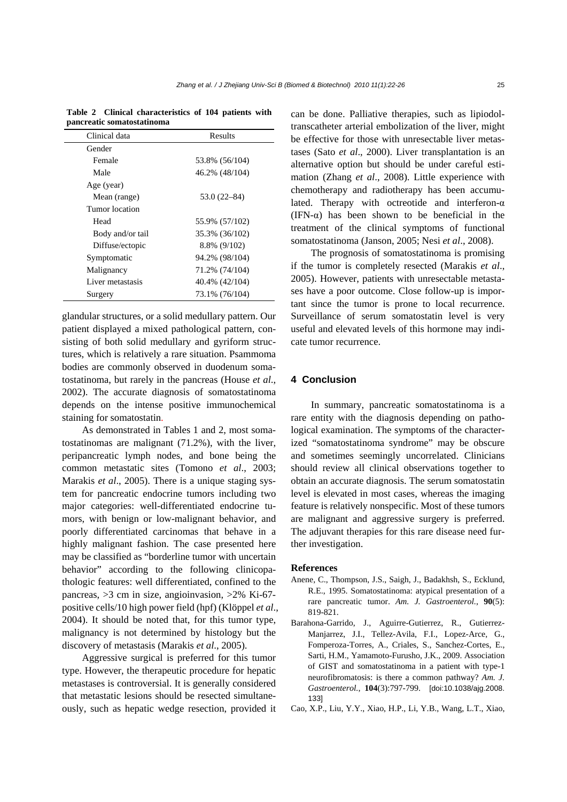| punci cutic sonnutostutinomu |                 |  |  |  |  |  |
|------------------------------|-----------------|--|--|--|--|--|
| Clinical data                | Results         |  |  |  |  |  |
| Gender                       |                 |  |  |  |  |  |
| Female                       | 53.8% (56/104)  |  |  |  |  |  |
| Male                         | 46.2% (48/104)  |  |  |  |  |  |
| Age (year)                   |                 |  |  |  |  |  |
| Mean (range)                 | $53.0(22 - 84)$ |  |  |  |  |  |
| Tumor location               |                 |  |  |  |  |  |
| Head                         | 55.9% (57/102)  |  |  |  |  |  |
| Body and/or tail             | 35.3% (36/102)  |  |  |  |  |  |
| Diffuse/ectopic              | 8.8% (9/102)    |  |  |  |  |  |
| Symptomatic                  | 94.2% (98/104)  |  |  |  |  |  |
| Malignancy                   | 71.2% (74/104)  |  |  |  |  |  |
| Liver metastasis             | 40.4% (42/104)  |  |  |  |  |  |
| Surgery                      | 73.1% (76/104)  |  |  |  |  |  |

**Table 2 Clinical characteristics of 104 patients with pancreatic somatostatinoma** 

glandular structures, or a solid medullary pattern. Our patient displayed a mixed pathological pattern, consisting of both solid medullary and gyriform structures, which is relatively a rare situation. Psammoma bodies are commonly observed in duodenum somatostatinoma, but rarely in the pancreas (House *et al*., 2002). The accurate diagnosis of somatostatinoma depends on the intense positive immunochemical staining for somatostatin.

As demonstrated in Tables 1 and 2, most somatostatinomas are malignant (71.2%), with the liver, peripancreatic lymph nodes, and bone being the common metastatic sites (Tomono *et al*., 2003; Marakis *et al.*, 2005). There is a unique staging system for pancreatic endocrine tumors including two major categories: well-differentiated endocrine tumors, with benign or low-malignant behavior, and poorly differentiated carcinomas that behave in a highly malignant fashion. The case presented here may be classified as "borderline tumor with uncertain behavior" according to the following clinicopathologic features: well differentiated, confined to the pancreas, >3 cm in size, angioinvasion, >2% Ki-67 positive cells/10 high power field (hpf) (Klöppel *et al*., 2004). It should be noted that, for this tumor type, malignancy is not determined by histology but the discovery of metastasis (Marakis *et al*., 2005).

Aggressive surgical is preferred for this tumor type. However, the therapeutic procedure for hepatic metastases is controversial. It is generally considered that metastatic lesions should be resected simultaneously, such as hepatic wedge resection, provided it can be done. Palliative therapies, such as lipiodoltranscatheter arterial embolization of the liver, might be effective for those with unresectable liver metastases (Sato *et al*., 2000). Liver transplantation is an alternative option but should be under careful estimation (Zhang *et al*., 2008). Little experience with chemotherapy and radiotherapy has been accumulated. Therapy with octreotide and interferon- $\alpha$ (IFN- $\alpha$ ) has been shown to be beneficial in the treatment of the clinical symptoms of functional somatostatinoma (Janson, 2005; Nesi *et al*., 2008).

The prognosis of somatostatinoma is promising if the tumor is completely resected (Marakis *et al*., 2005). However, patients with unresectable metastases have a poor outcome. Close follow-up is important since the tumor is prone to local recurrence. Surveillance of serum somatostatin level is very useful and elevated levels of this hormone may indicate tumor recurrence.

## **4 Conclusion**

In summary, pancreatic somatostatinoma is a rare entity with the diagnosis depending on pathological examination. The symptoms of the characterized "somatostatinoma syndrome" may be obscure and sometimes seemingly uncorrelated. Clinicians should review all clinical observations together to obtain an accurate diagnosis. The serum somatostatin level is elevated in most cases, whereas the imaging feature is relatively nonspecific. Most of these tumors are malignant and aggressive surgery is preferred. The adjuvant therapies for this rare disease need further investigation.

#### **References**

- Anene, C., Thompson, J.S., Saigh, J., Badakhsh, S., Ecklund, R.E., 1995. Somatostatinoma: atypical presentation of a rare pancreatic tumor. *Am. J. Gastroenterol.*, **90**(5): 819-821.
- Barahona-Garrido, J., Aguirre-Gutierrez, R., Gutierrez-Manjarrez, J.I., Tellez-Avila, F.I., Lopez-Arce, G., Fomperoza-Torres, A., Criales, S., Sanchez-Cortes, E., Sarti, H.M., Yamamoto-Furusho, J.K., 2009. Association of GIST and somatostatinoma in a patient with type-1 neurofibromatosis: is there a common pathway? *Am. J. Gastroenterol.*, **104**(3):797-799. [doi:10.1038/ajg.2008. 133]
- Cao, X.P., Liu, Y.Y., Xiao, H.P., Li, Y.B., Wang, L.T., Xiao,